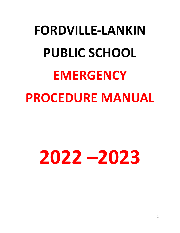# **FORDVILLE-LANKIN PUBLIC SCHOOL EMERGENCY PROCEDURE MANUAL**

# **2022 –2023**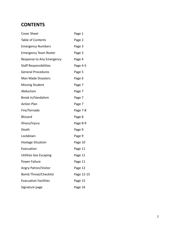# **CONTENT S**

| <b>Cover Sheet</b>            | Page 1     |
|-------------------------------|------------|
| Table of Contents             | Page 2     |
| <b>Emergency Numbers</b>      | Page 3     |
| <b>Emergency Team Roster</b>  | Page 3     |
| Response to Any Emergency     | Page 4     |
| <b>Staff Responsibilities</b> | Page 4-5   |
| <b>General Procedures</b>     | Page 5     |
| Man Made Disasters            | Page 6     |
| <b>Missing Student</b>        | Page 7     |
| Abduction                     | Page 7     |
| Break In/Vandalism            | Page 7     |
| <b>Action Plan</b>            | Page 7     |
| Fire/Tornado                  | Page 7-8   |
| <b>Blizzard</b>               | Page 8     |
| Illness/Injury                | Page 8-9   |
| Death                         | Page 9     |
| Lockdown                      | Page 9     |
| <b>Hostage Situation</b>      | Page 10    |
| Evacuation                    | Page 11    |
| <b>Utilities Gas Escaping</b> | Page 11    |
| Power Failure                 | Page 11    |
| <b>Angry Patron/Visitor</b>   | Page 12    |
| <b>Bomb Threat/Checklist</b>  | Page 12-15 |
| <b>Evacuation Facilities</b>  | Page 15    |
| Signature page                | Page 16    |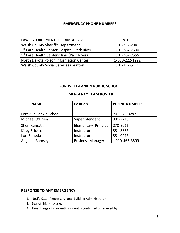# **EMERGENCY PHONE NUMBERS**

| LAW ENFORCEMENT-FIRE-AMBULANCE                           | $9 - 1 - 1$    |
|----------------------------------------------------------|----------------|
| <b>Walsh County Sheriff's Department</b>                 | 701-352-2041   |
| 1 <sup>st</sup> Care Health Center-Hospital (Park River) | 701-284-7500   |
| 1 <sup>st</sup> Care Health Center-Clinic (Park River)   | 701-284-7555   |
| North Dakota Poison Information Center                   | 1-800-222-1222 |
| <b>Walsh County Social Services (Grafton)</b>            | 701-352-5111   |

# **FORDVILLE-LANKIN PUBLIC SCHOOL**

# **EMERGENCY TEAM ROSTER**

| <b>NAME</b>             | <b>Position</b>             | <b>PHONE NUMBER</b> |
|-------------------------|-----------------------------|---------------------|
|                         |                             |                     |
| Fordville-Lankin School |                             | 701-229-3297        |
| Michael O'Brien         | Superintendent              | 331-2718            |
| Sheri Kunrath           | <b>Elementary Principal</b> | 270-8016            |
| Kirby Erickson          | Instructor                  | 331-8836            |
| Lori Beneda             | Instructor                  | 331-0215            |
| Augusta Ramsey          | <b>Business Manager</b>     | 910-465-3509        |

# **RESPONSE TO ANY EMERGENCY**

- 1. Notify 911 (if necessary) and Building Administrator
- 2. Seal off high-risk area.
- 3. Take charge of area until incident is contained or relieved by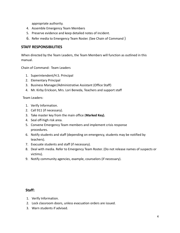appropriate authority.

- 4. Assemble Emergency Team Members
- 5. Preserve evidence and keep detailed notes of incident.
- 6. Refer media to Emergency Team Roster. (See Chain of Command )

# **STAFF RESPONSIBILITIES**

When directed by the Team Leaders, the Team Members will function as outlined in this manual.

Chain of Command: Team Leaders

- 1. Superintendent/H.S. Principal
- 2. Elementary Principal
- 3. Business Manager/Administrative Assistant (Office Staff)
- 4. Mr. Kirby Erickson, Mrs. Lori Beneda, Teachers and support staff

### Team Leaders:

- 1. Verify Information.
- 2. Call 911 (if necessary).
- 3. Take master key from the main office (**Marked Key).**
- 4. Seal off-high risk area.
- 5. Convene Emergency Team members and implement crisis response procedures.
- 6. Notify students and staff (depending on emergency, students may be notified by teachers).
- 7. Evacuate students and staff (if necessary).
- 8. Deal with media. Refer to Emergency Team Roster. (Do not release names of suspects or victims).
- 9. Notify community agencies, example, counselors (if necessary).

# **Staff:**

- 1. Verify Information.
- 2. Lock classroom doors, unless evacuation orders are issued.
- 3. Warn students if advised.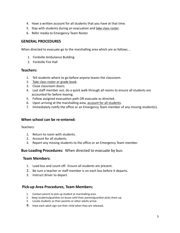- 4. Have a written account for all students that you have at that time.
- 5. Stay with students during an evacuation and take class roster.
- 6. Refer media to Emergency Team Roster.

# **GENERAL PROCEDURES**

When directed to evacuate go to the marshalling area which are as follows…

- 1. Fordville Ambulance Building
- 2. Fordville Fire Hall

### **Teachers:**

- 1. Tell students where to go before anyone leaves the classroom.
- 2. Take class roster or grade book.
- 3. Close classroom doors.
- 4. Last staff member out, do a quick walk through all rooms to ensure all students are accounted for before leaving.
- 5. Follow assigned evacuation path OR evacuate as directed.
- 6. Upon arriving at the marshalling area, account for all students.
- 7. Immediately notify the office or an Emergency Team member of any missing student(s).

# **When school can be re-entered:**

Teachers:

- 1. Return to room with students.
- 2. Account for all students.
- 3. Report any missing students to the office or an Emergency Team member.

### **Bus-Loading Procedures:** When directed to evacuate by bus:

### **Team Members:**

- 1. Load bus and count off. Ensure all students are present.
- 2. Be sure a teacher or staff member is on each bus before it departs.
- 3. Instruct driver to depart.

# **Pick-up Area Procedures, Team Members:**

- 1. Contact parent to pick up student at marshalling area.
- 2. Keep students/guardian on buses until their parent/guardian picks them up.
- 3. Locate students as their parents or other adults arrive.
- 4. Have each adult sign out their child when they are released.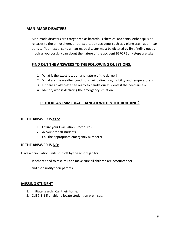# **MAN-MADE DISASTERS**

Man-made disasters are categorized as hazardous chemical accidents, either spills or releases to the atmosphere, or transportation accidents such as a plane crash at or near our site. Your response to a man-made disaster must be dictated by first finding out as much as you possibly can about the nature of the accident BEFORE any steps are taken.

# **FIND OUT THE ANSWERS TO THE FOLLOWING QUESTIONS.**

- 1. What is the exact location and nature of the danger?
- 2. What are the weather conditions (wind direction, visibility and temperature)?
- 3. Is there an alternate site ready to handle our students if the need arises?
- 4. Identify who is declaring the emergency situation.

# **IS THERE AN IMMEDIATE DANGER WITHIN THE BUILDING?**

### **IF THE ANSWER IS YES:**

- 1. Utilize your Evacuation Procedures.
- 2. Account for all students.
- 3. Call the appropriate emergency number 9-1-1.

# **IF THE ANSWER IS NO:**

Have air circulation units shut off by the school janitor.

Teachers need to take roll and make sure all children are accounted for

and then notify their parents.

### **MISSING STUDENT**

- 1. Initiate search. Call their home.
- 2. Call 9-1-1 if unable to locate student on premises.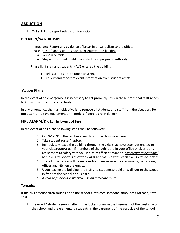# **ABDUCTION**

1. Call 9-1-1 and report relevant information.

### **BREAK IN/VANDALISM**

Immediate: Report any evidence of break in or vandalism to the office. Phase I: If staff and students have NOT entered the building:

- Remain outside.
- Stay with students until marshaled by appropriate authority.

Phase II: If staff and students HAVE entered the building:

- Tell students not to touch anything.
- Collect and report relevant information from students/staff.

# **Action Plans**

In the event of an emergency, it is necessary to act promptly. It is in these times that staff needs to know how to respond effectively.

In any emergency, the main objective is to remove all students and staff from the situation. **Do not** attempt to save equipment or materials if people are in danger.

# **FIRE ALARM/DRILL: In Event of Fire:**

In the event of a fire, the following steps shall be followed:

- 1. Call 9-1-1/Pull the red fire alarm box in the designated area.
- 2. Take student roster/ laptop.
- *3.* Immediately leave the building through the exits that have been designated to your classroom/area. If members of the public are in your office or classroom, assist them to safety with you in a calm efficient manner. *Maintenance personnel to make sure Special Education exit is not blocked with ice/snow, (south-east exit).*
- 4. The administration will be responsible to make sure the classrooms, bathrooms, offices and kitchen are empty.
- 5. Upon leaving the building, the staff and students should all walk out to the street in front of the school or bus barn.
- *6. If your regular exit is blocked, use an alternate route*

### **Tornado:**

If the civil defense siren sounds or on the school's intercom someone announces Tornado, staff shall:

1. Have 7-12 students seek shelter in the locker rooms in the basement of the west side of the school and the elementary students in the basement of the east side of the school.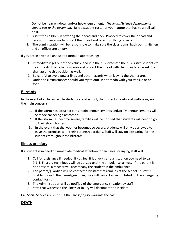Do not be near windows and/or heavy equipment. *The Math/Science departments should exit to the basement.* Take a student roster or your laptop that has your roll call on it.

- 2. Assist the children in covering their head and neck. Proceed to cover their head and neck with their arms to protect their head and face from flying objects.
- 3. The administration will be responsible to make sure the classrooms, bathrooms, kitchen and all offices are empty.

If you are in a vehicle and spot a tornado approaching:

- 1. Immediately get out of the vehicle and if in the bus, evacuate the bus. Assist students to lie in the ditch or other low area and protect their head with their hands or jacket. Staff shall assume this position as well.
- 2. Be careful to avoid power lines and other hazards when leaving the shelter area.
- 3. Under no circumstances should you try to outrun a tornado with your vehicle or on foot.

# **Blizzards**

In the event of a blizzard while students are at school, the student's safety and well-being are the main concerns.

- 1. If the storm has occurred early, radio announcements and/or TV announcements will be made canceling class/school.
- 2. If the storm has become severe, families will be notified that students will need to go to their storm homes.
- 3. In the event that the weather becomes so severe, students will only be allowed to leave the premises with their parents/guardians. Staff will stay on-site caring for the students throughout the blizzards.

# **Illness or Injury**

If a student is in need of immediate medical attention for an illness or injury, staff will:

- 1. Call for assistance if needed. If you feel it is a very serious situation you need to call 9-1-1. First aid techniques will be utilized until the ambulance arrives. If the parent is not present, a teacher will accompany the student in the ambulance.
- 2. The parent/guardian will be contacted by staff that remains at the school. If staff is unable to reach the parent/guardian, they will contact a person listed on the emergency contact form.
- 3. The Administration will be notified of the emergency situation by staff.
- 4. Staff that witnessed the illness or injury will document the incident.

Call Social Services-352-5111 if the illness/injury warrants the call.

# **DEATH**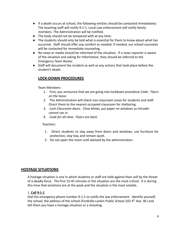- If a death occurs at school, the following entities should be contacted immediately: The teaching staff will notify 9-1-1. Local Law enforcement will notify family members. The Administration will be notified.
- The body should not be tampered with at any time.
- The students should only be told what is essential for them to know about what has occurred. Staff should offer any comfort as needed. If needed, our school counselor will be contacted for immediate counseling.
- No news or media should be informed of the situation. If a news reporter is aware of the situation and asking for information, they should be referred to the Emergency Team Roster.
- Staff will document the incident as well as any actions that took place before the student's death.

# **LOCK-DOWN PROCEDURES**

Team Members:

- 1. First, you announce that we are going into lockdown procedure *Code: Flyers on the loose.*
- 2. The Administration will check non-classroom areas for students and staff. Direct them to the nearest occupied classroom for sheltering.
- *3. Lock Classroom doors. Close blinds, put paper on windows so intruder cannot see in.*
- *4. Code for all clear. Flyers are back.*

Teachers:

- 1. Direct students to stay away from doors and windows, use furniture for protection, stay low, and remain quiet.
- 2. Do not open the room until advised by the administration.

# **HOSTAGE SITUATIONS**

A hostage situation is one in which students or staff are held against their will by the threat of a deadly force. The first 15-45 minutes in the situation are the most critical. It is during this time that emotions are at the peak and the situation is the most volatile.

### 1. **Call 9-1-1**

Dial the emergency phone number 9-1-1 to notify the law enforcement. Identify yourself, the school, the address of the school (Fordville-Lankin Public School-102 4<sup>th</sup> Ave. W.) and tell them you have a hostage situation or a shooting.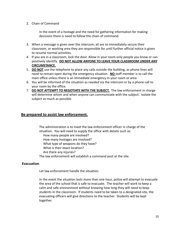#### 2. Chain of Command

In the event of a hostage and the need for gathering information for making decisions there is need to follow the chain of command.

- 3. When a message is given over the intercom, all are to immediately secure their classroom, or working area they are responsible for until further official notice is given to resume normal activities.
- 4. If you are in a classroom, lock the door. Allow in your room only people you know or can positively identify. **DO NOT ALLOW ANYONE TO LEAVE YOUR CLASSROOM UNDER ANY CIRCUMSTANCE.**
- 5. **DO NOT** use the telephone to place any calls outside the building, as phone lines will need to remain open during the emergency situation. **NO** staff member is to call the main office unless there is an immediate emergency in your room or area.
- 6. You will be informed of the situation as needed via the intercom or by a phone call to your room by the office.
- 7. **DO NOT ATTEMPT TO NEGOTIATE WITH THE SUBJECT.** The law enforcement in charge will determine whom and when anyone can communicate with the subject. Isolate the subject as much as possible.

# **Be prepared to assist law enforcement.**

The administration is to meet the law enforcement officer in charge of the situation. You will need to supply the office with details such as: How many people are involved? How many hostages are involved? What type of weapons do they have? What is their exact location? Are there any injuries? The law enforcement will establish a command post at the site.

#### **Evacuation**

Let law enforcement handle the situation.

In the event the situation lasts more than one hour, police will attempt to evacuate the area of the school that is safe to evacuate. The teacher will work to keep a calm and safe environment without knowing how long they will need to keep students in the classroom. If students need to be taken to a designated site, the evacuating officers will give directions to the teacher. Students will be kept together.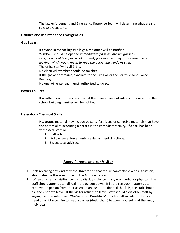The law enforcement and Emergency Response Team will determine what area is safe to evacuate to.

### **Utilities and Maintenance Emergencies**

### **Gas Leaks:**

If anyone in the facility smells gas, the office will be notified. Windows should be opened immediately *if it is an internal gas leak. Exception would be if external gas leak; for example, anhydrous ammonia is leaking, which would mean to keep the doors and windows shut.* The office staff will call 9-1-1. No electrical switches should be touched. If the gas odor remains, evacuate to the Fire Hall or the Fordville Ambulance Building. No one will enter again until authorized to do so.

# **Power Failure:**

If weather conditions do not permit the maintenance of safe conditions within the school building, families will be notified.

# **Hazardous Chemical Spills:**

Hazardous material may include poisons, fertilizers, or corrosive materials that have the potential of becoming a hazard in the immediate vicinity. If a spill has been witnessed, staff will:

- 1. Call 9-1-1.
- 2. Follow law enforcement/fire department directions.
- 3. Evacuate as advised.

# **Angry Parents and /or Visitor**

- 1. Staff receiving any kind of verbal threats and that feel uncomfortable with a situation, should discuss the situation with the Administration.
- 2. When any person visiting begins to display violence in any way (verbal or physical), the staff should attempt to talk/calm the person down. If in the classroom, attempt to remove the person from the classroom and shut the door. If this fails, the staff should ask the visitor to leave. If the visitor refuses to leave, staff should alert other staff by saying over the intercom: **"We're out of Band-Aids".** Such a call will alert other staff of need of assistance. Try to keep a barrier (desk, chair.) between yourself and the angry individual.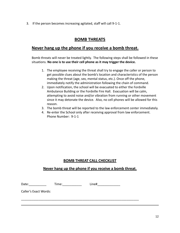3. If the person becomes increasing agitated, staff will call 9-1-1.

# **BOMB THREATS**

# **Never hang up the phone if you receive a bomb threat.**

Bomb threats will never be treated lightly. The following steps shall be followed in these situations. **No one is to use their cell phone as it may trigger the device.**

- 1. The employee receiving the threat shall try to engage the caller or person to get possible clues about the bomb's location and characteristics of the person making the threat (age, sex, mental status, etc.). Once off the phone, immediately notify the administration following the chain of command.
- 2. Upon notification, the school will be evacuated to either the Fordville Ambulance Building or the Fordville Fire Hall. Evacuation will be calm, attempting to avoid noise and/or vibration from running or other movement since it may detonate the device. Also, no cell phones will be allowed for this reason.
- 3. The bomb threat will be reported to the law enforcement center immediately.
- 4. Re-enter the School only after receiving approval from law enforcement. Phone Number: 9-1-1

# **BOMB THREAT CALL CHECKLIST**

# **Never hang up the phone if you receive a bomb threat.**

Date: \_\_\_\_\_\_\_\_\_\_\_\_\_\_\_\_ Time: \_\_\_\_\_\_\_\_\_\_\_\_\_\_ Line# \_\_\_\_\_\_\_\_\_\_\_\_\_\_\_\_\_\_\_\_\_\_\_\_\_\_\_\_\_\_

\_\_\_\_\_\_\_\_\_\_\_\_\_\_\_\_\_\_\_\_\_\_\_\_\_\_\_\_\_\_\_\_\_\_\_\_\_\_\_\_\_\_\_\_\_\_\_\_\_\_\_\_\_\_\_\_\_\_\_\_\_\_\_\_\_\_\_

Caller's Exact Words: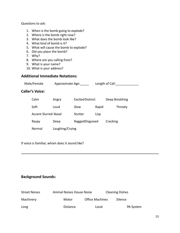#### Questions to ask:

- 1. When is the bomb going to explode?
- 2. Where is the bomb right now?
- 3. What does the bomb look like?
- 4. What kind of bomb is it?
- 5. What will cause the bomb to explode?
- 6. Did you place the bomb?
- 7. Why?
- 8. Where are you calling from?
- 9. What is your name?
- 10. What is your address?

### **Additional Immediate Notations:**

| Male/Female | Approximate Age: | Length of Call: |
|-------------|------------------|-----------------|
|             |                  |                 |

# **Caller's Voice:**

| Calm                        | Angry           | <b>Excited Distinct</b> |       | Deep Breathing |
|-----------------------------|-----------------|-------------------------|-------|----------------|
| Soft                        | Loud            | Slow                    | Rapid | Throaty        |
| <b>Accent Slurred Nasal</b> |                 | Stutter                 | Lisp  |                |
| Raspy                       | Deep            | RaggedDisguised         |       | Cracking       |
| Normal                      | Laughing/Crying |                         |       |                |

If voice is familiar, whom does it sound like?

# **Background Sounds:**

| <b>Street Noises</b> | Animal Noises House Noise |                        | <b>Cleaning Dishes</b> |
|----------------------|---------------------------|------------------------|------------------------|
| Machinery            | Motor                     | <b>Office Machines</b> | Silence                |
| Long                 | Distance                  | Local                  | PA System              |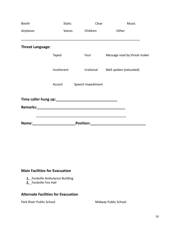| <b>Booth</b>            | <b>Static</b> | Clear             | <b>Music</b>                 |
|-------------------------|---------------|-------------------|------------------------------|
| Airplanes               | Voices        | Children          | Other                        |
| <b>Threat Language:</b> |               |                   |                              |
|                         | Taped         | Foul              | Message read by threat maker |
|                         | Incoherent    | Irrational        | Well spoken (educated)       |
|                         | Accent        | Speech Impediment |                              |
|                         |               |                   |                              |
| Name:                   |               | <b>Position:</b>  |                              |

# **Main Facilities for Evacuation**

- **1.** Fordville Ambulance Building
- **2.** Fordville Fire Hall

# **Alternate Facilities for Evacuation**

Park River Public School Midway Public School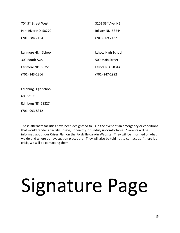| 704 5 <sup>th</sup> Street West | 3202 33rd Ave. NE  |
|---------------------------------|--------------------|
| Park River ND 58270             | Inkster ND 58244   |
| (701) 284-7164                  | (701) 869-2432     |
|                                 |                    |
| Larimore High School            | Lakota High School |
| 300 Booth Ave.                  | 500 Main Street    |
| Larimore ND 58251               | Lakota ND 58344    |
| $(701)$ 343-2366                | (701) 247-2992     |
|                                 |                    |
| Edinburg High School            |                    |

 $6005^{\text{th}}$  St

Edinburg ND 58227

(701) 993-8312

These alternate facilities have been designated to us in the event of an emergency or conditions that would render a facility unsafe, unhealthy, or unduly uncomfortable. \*Parents will be informed about our Crises Plan on the Fordville-Lankin Website. They will be informed of what we do and where our evacuation places are. They will also be told not to contact us if there is a crisis, we will be contacting them.

# Signature Page